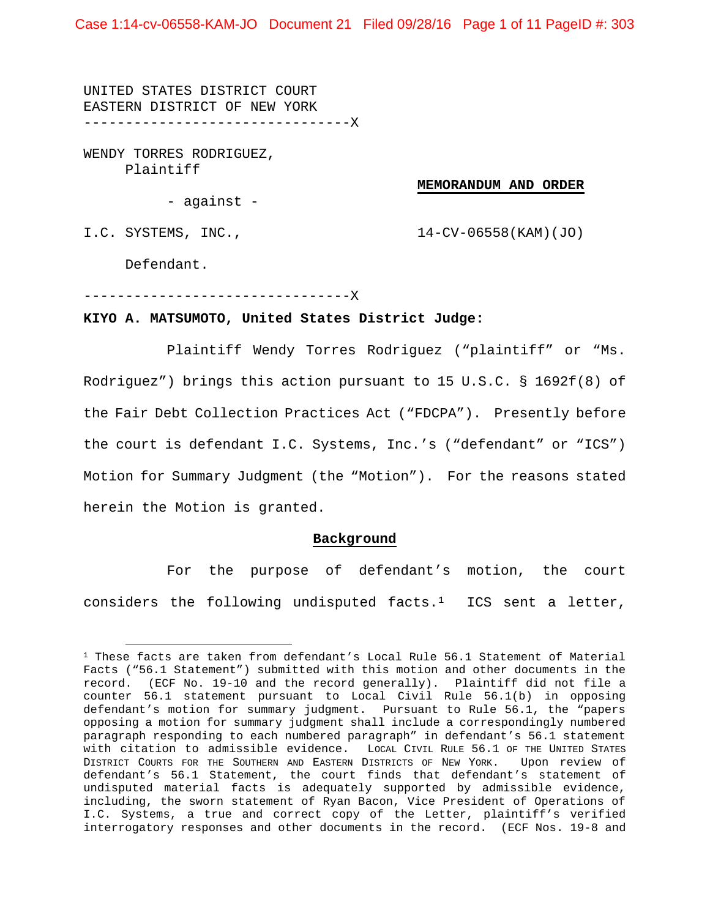Case 1:14-cv-06558-KAM-JO Document 21 Filed 09/28/16 Page 1 of 11 PageID #: 303

UNITED STATES DISTRICT COURT EASTERN DISTRICT OF NEW YORK --------------------------------X

WENDY TORRES RODRIGUEZ, Plaintiff

#### **MEMORANDUM AND ORDER**

- against -

I.C. SYSTEMS, INC., 14-CV-06558(KAM)(JO)

Defendant.

 $\overline{a}$ 

--------------------------------X

#### **KIYO A. MATSUMOTO, United States District Judge:**

Plaintiff Wendy Torres Rodriguez ("plaintiff" or "Ms. Rodriguez") brings this action pursuant to 15 U.S.C. § 1692f(8) of the Fair Debt Collection Practices Act ("FDCPA"). Presently before the court is defendant I.C. Systems, Inc.'s ("defendant" or "ICS") Motion for Summary Judgment (the "Motion"). For the reasons stated herein the Motion is granted.

#### **Background**

For the purpose of defendant's motion, the court considers the following undisputed facts. $1$  ICS sent a letter,

<span id="page-0-0"></span> $1$  These facts are taken from defendant's Local Rule 56.1 Statement of Material Facts ("56.1 Statement") submitted with this motion and other documents in the record. (ECF No. 19-10 and the record generally). Plaintiff did not file a counter 56.1 statement pursuant to Local Civil Rule 56.1(b) in opposing defendant's motion for summary judgment. Pursuant to Rule 56.1, the "papers opposing a motion for summary judgment shall include a correspondingly numbered paragraph responding to each numbered paragraph" in defendant's 56.1 statement with citation to admissible evidence. LOCAL CIVIL RULE 56.1 OF THE UNITED STATES DISTRICT COURTS FOR THE SOUTHERN AND EASTERN DISTRICTS OF NEW YORK. Upon review of defendant's 56.1 Statement, the court finds that defendant's statement of undisputed material facts is adequately supported by admissible evidence, including, the sworn statement of Ryan Bacon, Vice President of Operations of I.C. Systems, a true and correct copy of the Letter, plaintiff's verified interrogatory responses and other documents in the record. (ECF Nos. 19-8 and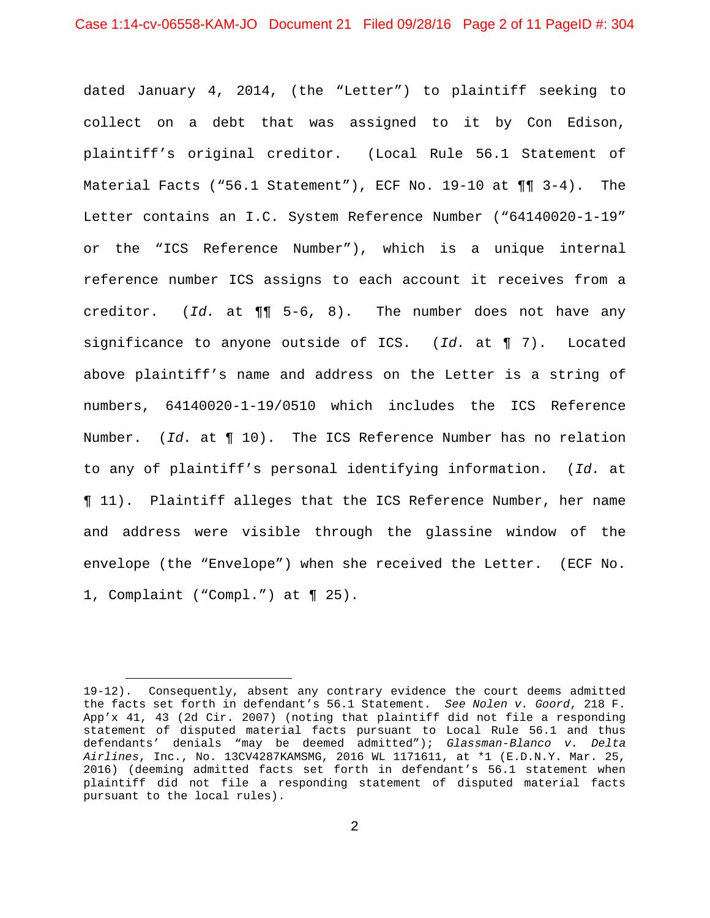dated January 4, 2014, (the "Letter") to plaintiff seeking to collect on a debt that was assigned to it by Con Edison, plaintiff's original creditor. (Local Rule 56.1 Statement of Material Facts ("56.1 Statement"), ECF No. 19-10 at  $\P\P$  3-4). The Letter contains an I.C. System Reference Number ("64140020-1-19" or the "ICS Reference Number"), which is a unique internal reference number ICS assigns to each account it receives from a creditor. (*Id.* at ¶¶ 5-6, 8). The number does not have any significance to anyone outside of ICS. (*Id.* at ¶ 7). Located above plaintiff's name and address on the Letter is a string of numbers, 64140020-1-19/0510 which includes the ICS Reference Number. (*Id.* at ¶ 10). The ICS Reference Number has no relation to any of plaintiff's personal identifying information. (*Id.* at ¶ 11). Plaintiff alleges that the ICS Reference Number, her name and address were visible through the glassine window of the envelope (the "Envelope") when she received the Letter. (ECF No. 1, Complaint ("Compl.") at ¶ 25).

<sup>19-12).</sup> Consequently, absent any contrary evidence the court deems admitted the facts set forth in defendant's 56.1 Statement. *See Nolen v. Goord*, 218 F. App'x 41, 43 (2d Cir. 2007) (noting that plaintiff did not file a responding statement of disputed material facts pursuant to Local Rule 56.1 and thus defendants' denials "may be deemed admitted"); *Glassman-Blanco v. Delta Airlines*, Inc., No. 13CV4287KAMSMG, 2016 WL 1171611, at \*1 (E.D.N.Y. Mar. 25, 2016) (deeming admitted facts set forth in defendant's 56.1 statement when plaintiff did not file a responding statement of disputed material facts pursuant to the local rules).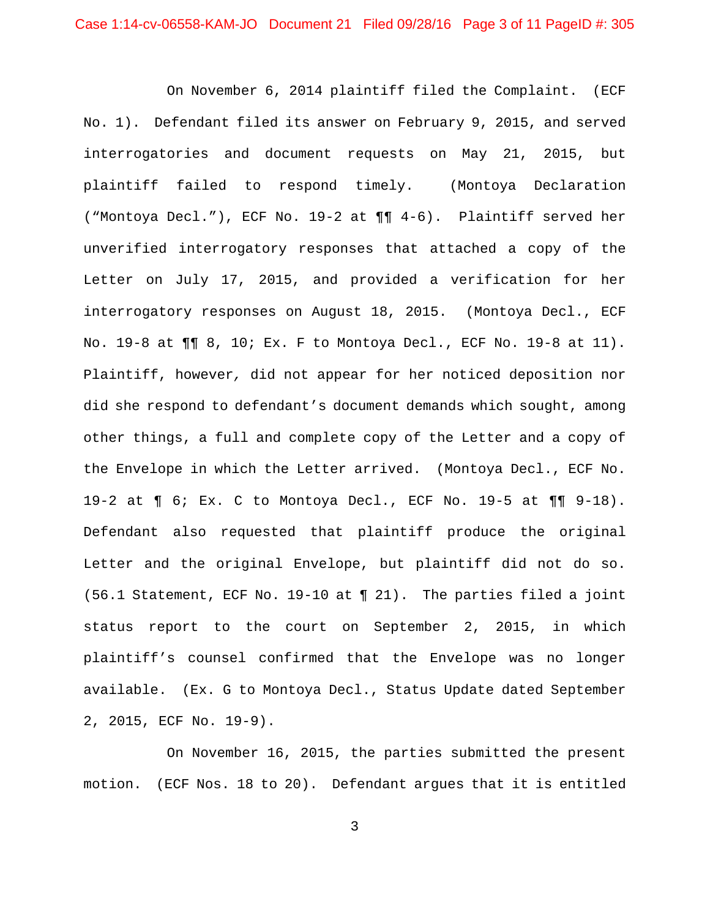On November 6, 2014 plaintiff filed the Complaint. (ECF No. 1). Defendant filed its answer on February 9, 2015, and served interrogatories and document requests on May 21, 2015, but plaintiff failed to respond timely. (Montoya Declaration ("Montoya Decl."), ECF No. 19-2 at ¶¶ 4-6). Plaintiff served her unverified interrogatory responses that attached a copy of the Letter on July 17, 2015, and provided a verification for her interrogatory responses on August 18, 2015. (Montoya Decl., ECF No. 19-8 at ¶¶ 8, 10; Ex. F to Montoya Decl., ECF No. 19-8 at 11). Plaintiff, however*,* did not appear for her noticed deposition nor did she respond to defendant's document demands which sought, among other things, a full and complete copy of the Letter and a copy of the Envelope in which the Letter arrived. (Montoya Decl., ECF No. 19-2 at ¶ 6; Ex. C to Montoya Decl., ECF No. 19-5 at ¶¶ 9-18). Defendant also requested that plaintiff produce the original Letter and the original Envelope, but plaintiff did not do so. (56.1 Statement, ECF No. 19-10 at ¶ 21). The parties filed a joint status report to the court on September 2, 2015, in which plaintiff's counsel confirmed that the Envelope was no longer available. (Ex. G to Montoya Decl., Status Update dated September 2, 2015, ECF No. 19-9).

On November 16, 2015, the parties submitted the present motion. (ECF Nos. 18 to 20). Defendant argues that it is entitled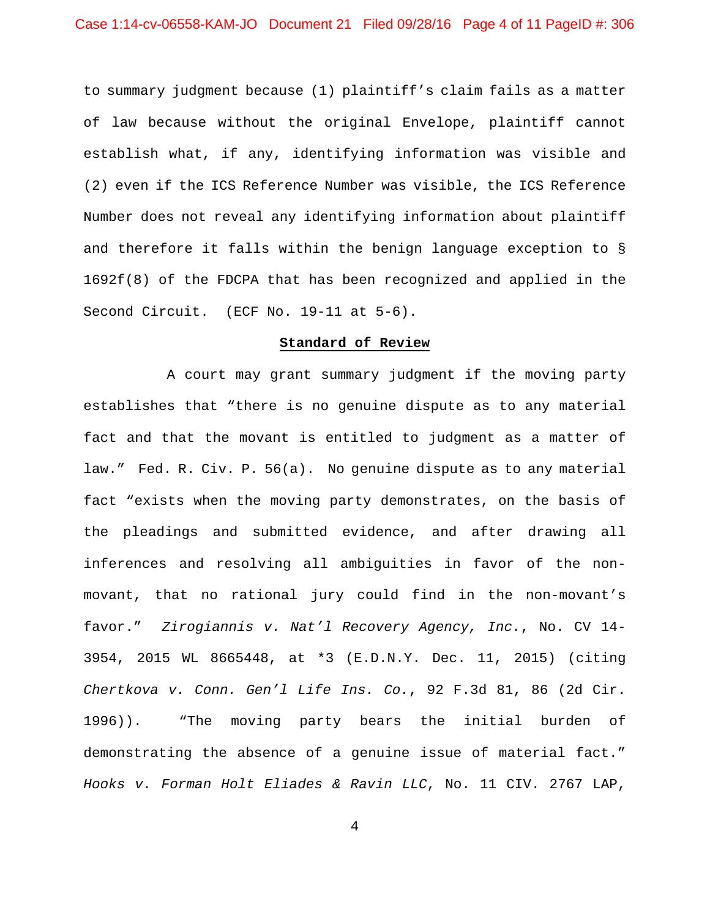to summary judgment because (1) plaintiff's claim fails as a matter of law because without the original Envelope, plaintiff cannot establish what, if any, identifying information was visible and (2) even if the ICS Reference Number was visible, the ICS Reference Number does not reveal any identifying information about plaintiff and therefore it falls within the benign language exception to § 1692f(8) of the FDCPA that has been recognized and applied in the Second Circuit. (ECF No. 19-11 at 5-6).

### **Standard of Review**

A court may grant summary judgment if the moving party establishes that "there is no genuine dispute as to any material fact and that the movant is entitled to judgment as a matter of law." Fed. R. Civ. P. 56(a). No genuine dispute as to any material fact "exists when the moving party demonstrates, on the basis of the pleadings and submitted evidence, and after drawing all inferences and resolving all ambiguities in favor of the nonmovant, that no rational jury could find in the non-movant's favor." *Zirogiannis v. Nat'l Recovery Agency, Inc.*, No. CV 14- 3954, 2015 WL 8665448, at \*3 (E.D.N.Y. Dec. 11, 2015) (citing *Chertkova v. Conn. Gen'l Life Ins. Co.*, 92 F.3d 81, 86 (2d Cir. 1996)). "The moving party bears the initial burden of demonstrating the absence of a genuine issue of material fact." *Hooks v. Forman Holt Eliades & Ravin LLC*, No. 11 CIV. 2767 LAP,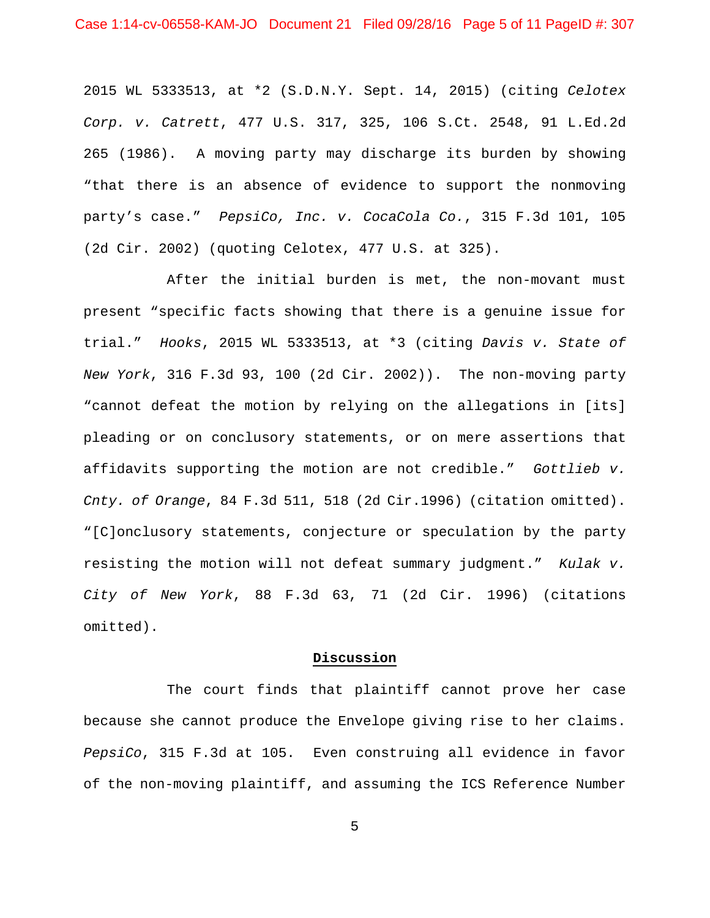2015 WL 5333513, at \*2 (S.D.N.Y. Sept. 14, 2015) (citing *Celotex Corp. v. Catrett*, 477 U.S. 317, 325, 106 S.Ct. 2548, 91 L.Ed.2d 265 (1986). A moving party may discharge its burden by showing "that there is an absence of evidence to support the nonmoving party's case." *PepsiCo, Inc. v. CocaCola Co.*, 315 F.3d 101, 105 (2d Cir. 2002) (quoting Celotex, 477 U.S. at 325).

After the initial burden is met, the non-movant must present "specific facts showing that there is a genuine issue for trial." *Hooks*, 2015 WL 5333513, at \*3 (citing *Davis v. State of New York*, 316 F.3d 93, 100 (2d Cir. 2002)). The non-moving party "cannot defeat the motion by relying on the allegations in [its] pleading or on conclusory statements, or on mere assertions that affidavits supporting the motion are not credible." *Gottlieb v. Cnty. of Orange*, 84 F.3d 511, 518 (2d Cir.1996) (citation omitted). "[C]onclusory statements, conjecture or speculation by the party resisting the motion will not defeat summary judgment." *Kulak v. City of New York*, 88 F.3d 63, 71 (2d Cir. 1996) (citations omitted).

## **Discussion**

The court finds that plaintiff cannot prove her case because she cannot produce the Envelope giving rise to her claims. *PepsiCo*, 315 F.3d at 105. Even construing all evidence in favor of the non-moving plaintiff, and assuming the ICS Reference Number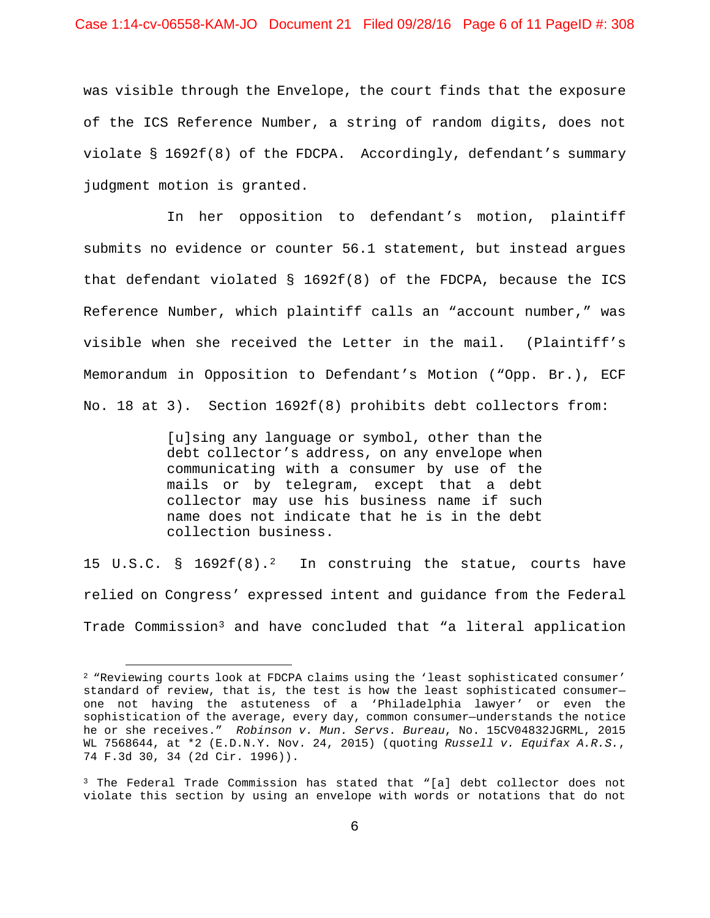was visible through the Envelope, the court finds that the exposure of the ICS Reference Number, a string of random digits, does not violate § 1692f(8) of the FDCPA. Accordingly, defendant's summary judgment motion is granted.

In her opposition to defendant's motion, plaintiff submits no evidence or counter 56.1 statement, but instead argues that defendant violated § 1692f(8) of the FDCPA, because the ICS Reference Number, which plaintiff calls an "account number," was visible when she received the Letter in the mail. (Plaintiff's Memorandum in Opposition to Defendant's Motion ("Opp. Br.), ECF No. 18 at 3). Section 1692f(8) prohibits debt collectors from:

> [u]sing any language or symbol, other than the debt collector's address, on any envelope when communicating with a consumer by use of the mails or by telegram, except that a debt collector may use his business name if such name does not indicate that he is in the debt collection business.

15 U.S.C. § 169[2](#page-5-0) $f(8)$ .<sup>2</sup> In construing the statue, courts have relied on Congress' expressed intent and guidance from the Federal Trade Commission[3](#page-5-1) and have concluded that "a literal application

<span id="page-5-0"></span><sup>&</sup>lt;sup>2</sup> "Reviewing courts look at FDCPA claims using the 'least sophisticated consumer' standard of review, that is, the test is how the least sophisticated consumer one not having the astuteness of a 'Philadelphia lawyer' or even the sophistication of the average, every day, common consumer—understands the notice he or she receives." *Robinson v. Mun. Servs. Bureau*, No. 15CV04832JGRML, 2015 WL 7568644, at \*2 (E.D.N.Y. Nov. 24, 2015) (quoting *Russell v. Equifax A.R.S.*, 74 F.3d 30, 34 (2d Cir. 1996)).

<span id="page-5-1"></span><sup>3</sup> The Federal Trade Commission has stated that "[a] debt collector does not violate this section by using an envelope with words or notations that do not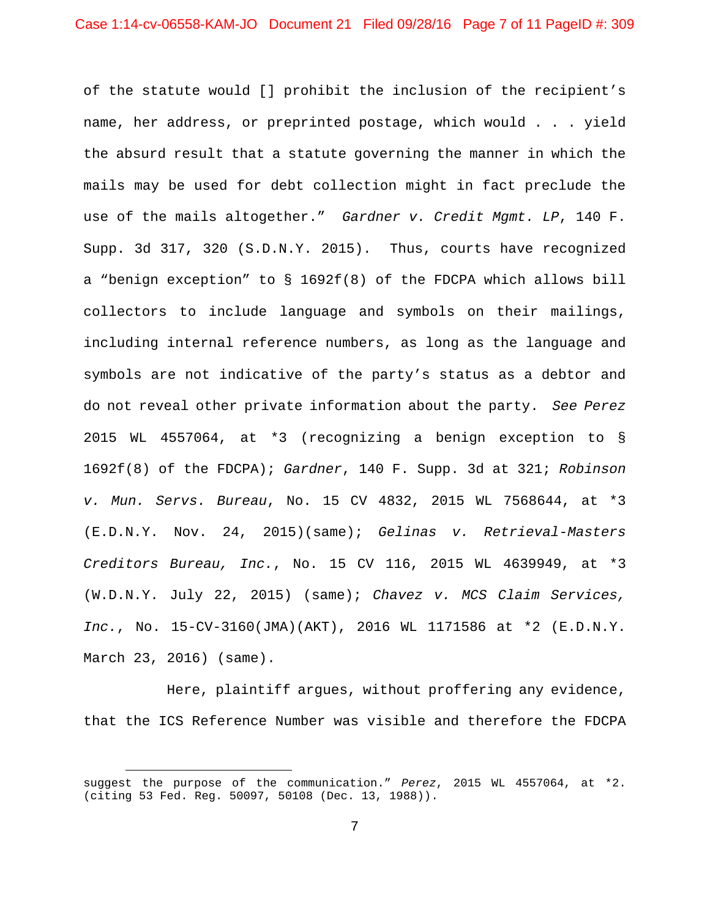of the statute would [] prohibit the inclusion of the recipient's name, her address, or preprinted postage, which would . . . yield the absurd result that a statute governing the manner in which the mails may be used for debt collection might in fact preclude the use of the mails altogether." *Gardner v. Credit Mgmt. LP*, 140 F. Supp. 3d 317, 320 (S.D.N.Y. 2015). Thus, courts have recognized a "benign exception" to § 1692f(8) of the FDCPA which allows bill collectors to include language and symbols on their mailings, including internal reference numbers, as long as the language and symbols are not indicative of the party's status as a debtor and do not reveal other private information about the party. *See Perez*  2015 WL 4557064, at \*3 (recognizing a benign exception to § 1692f(8) of the FDCPA); *Gardner*, 140 F. Supp. 3d at 321; *Robinson v. Mun. Servs. Bureau*, No. 15 CV 4832, 2015 WL 7568644, at \*3 (E.D.N.Y. Nov. 24, 2015)(same); *Gelinas v. Retrieval-Masters Creditors Bureau, Inc.*, No. 15 CV 116, 2015 WL 4639949, at \*3 (W.D.N.Y. July 22, 2015) (same); *Chavez v. MCS Claim Services, Inc.*, No. 15-CV-3160(JMA)(AKT), 2016 WL 1171586 at \*2 (E.D.N.Y. March 23, 2016) (same).

Here, plaintiff argues, without proffering any evidence, that the ICS Reference Number was visible and therefore the FDCPA

suggest the purpose of the communication." *Perez*, 2015 WL 4557064, at \*2. (citing 53 Fed. Reg. 50097, 50108 (Dec. 13, 1988)).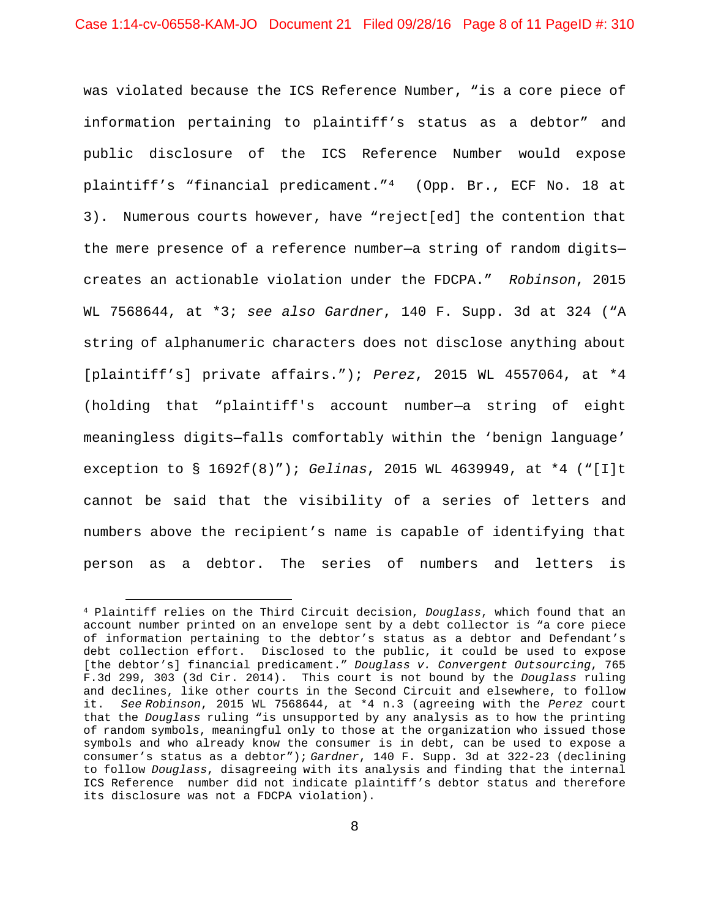was violated because the ICS Reference Number, "is a core piece of information pertaining to plaintiff's status as a debtor" and public disclosure of the ICS Reference Number would expose plaintiff's "financial predicament."[4](#page-7-0) (Opp. Br., ECF No. 18 at 3). Numerous courts however, have "reject[ed] the contention that the mere presence of a reference number—a string of random digits creates an actionable violation under the FDCPA." *Robinson*, 2015 WL 7568644, at \*3; *see also Gardner*, 140 F. Supp. 3d at 324 ("A string of alphanumeric characters does not disclose anything about [plaintiff's] private affairs."); *Perez*, 2015 WL 4557064, at \*4 (holding that "plaintiff's account number—a string of eight meaningless digits—falls comfortably within the 'benign language' exception to § 1692f(8)"); *Gelinas*, 2015 WL 4639949, at \*4 ("[I]t cannot be said that the visibility of a series of letters and numbers above the recipient's name is capable of identifying that person as a debtor. The series of numbers and letters is

<span id="page-7-0"></span> $\overline{a}$ <sup>4</sup> Plaintiff relies on the Third Circuit decision, *Douglass*, which found that an account number printed on an envelope sent by a debt collector is "a core piece of information pertaining to the debtor's status as a debtor and Defendant's debt collection effort. Disclosed to the public, it could be used to expose [the debtor's] financial predicament." *Douglass v. Convergent Outsourcing*, 765 F.3d 299, 303 (3d Cir. 2014). This court is not bound by the *Douglass* ruling and declines, like other courts in the Second Circuit and elsewhere, to follow<br>it. See Robinson, 2015 WL 7568644, at \*4 n.3 (agreeing with the Perez court it. *See Robinson*, 2015 WL 7568644, at \*4 n.3 (agreeing with the *Perez* court that the *Douglass* ruling "is unsupported by any analysis as to how the printing of random symbols, meaningful only to those at the organization who issued those symbols and who already know the consumer is in debt, can be used to expose a consumer's status as a debtor"); *Gardner*, 140 F. Supp. 3d at 322-23 (declining to follow *Douglass*, disagreeing with its analysis and finding that the internal ICS Reference number did not indicate plaintiff's debtor status and therefore its disclosure was not a FDCPA violation).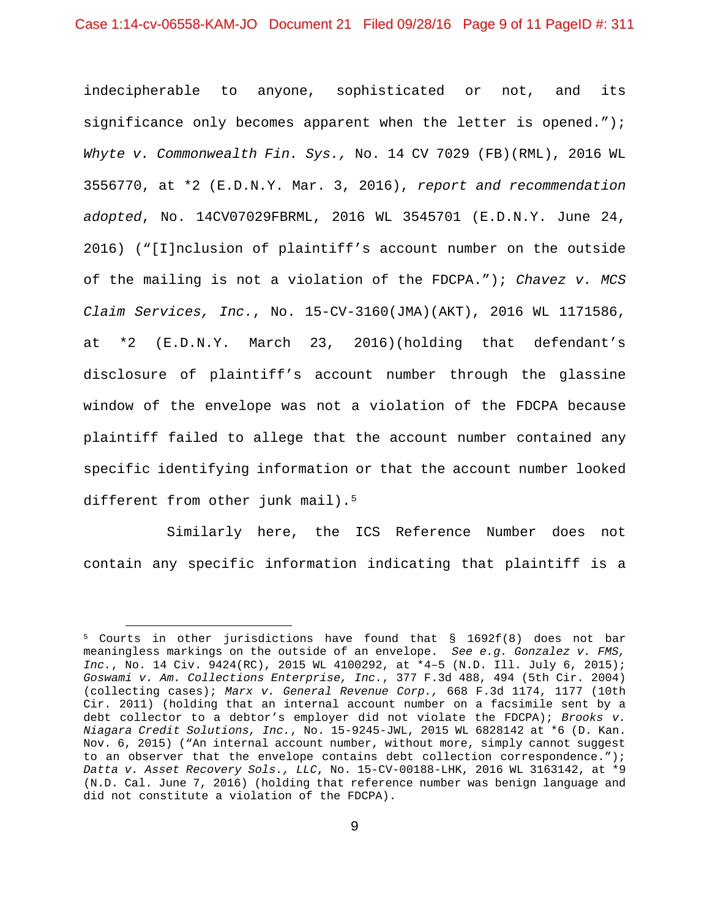indecipherable to anyone, sophisticated or not, and its significance only becomes apparent when the letter is opened."); *Whyte v. Commonwealth Fin. Sys.,* No. 14 CV 7029 (FB)(RML), 2016 WL 3556770, at \*2 (E.D.N.Y. Mar. 3, 2016), *report and recommendation adopted*, No. 14CV07029FBRML, 2016 WL 3545701 (E.D.N.Y. June 24, 2016) ("[I]nclusion of plaintiff's account number on the outside of the mailing is not a violation of the FDCPA."); *Chavez v. MCS Claim Services, Inc.*, No. 15-CV-3160(JMA)(AKT), 2016 WL 1171586, at \*2 (E.D.N.Y. March 23, 2016)(holding that defendant's disclosure of plaintiff's account number through the glassine window of the envelope was not a violation of the FDCPA because plaintiff failed to allege that the account number contained any specific identifying information or that the account number looked different from other junk mail).<sup>5</sup>

Similarly here, the ICS Reference Number does not contain any specific information indicating that plaintiff is a

<span id="page-8-0"></span><sup>5</sup> Courts in other jurisdictions have found that § 1692f(8) does not bar meaningless markings on the outside of an envelope. *See e.g. Gonzalez v. FMS, Inc.*, No. 14 Civ. 9424(RC), 2015 WL 4100292, at \*4–5 (N.D. Ill. July 6, 2015); *Goswami v. Am. Collections Enterprise, Inc.*, 377 F.3d 488, 494 (5th Cir. 2004) (collecting cases); *Marx v. General Revenue Corp.,* 668 F.3d 1174, 1177 (10th Cir. 2011) (holding that an internal account number on a facsimile sent by a debt collector to a debtor's employer did not violate the FDCPA); *Brooks v. Niagara Credit Solutions, Inc.*, No. 15-9245-JWL, 2015 WL 6828142 at \*6 (D. Kan. Nov. 6, 2015) ("An internal account number, without more, simply cannot suggest to an observer that the envelope contains debt collection correspondence."); *Datta v. Asset Recovery Sols., LLC*, No. 15-CV-00188-LHK, 2016 WL 3163142, at \*9 (N.D. Cal. June 7, 2016) (holding that reference number was benign language and did not constitute a violation of the FDCPA).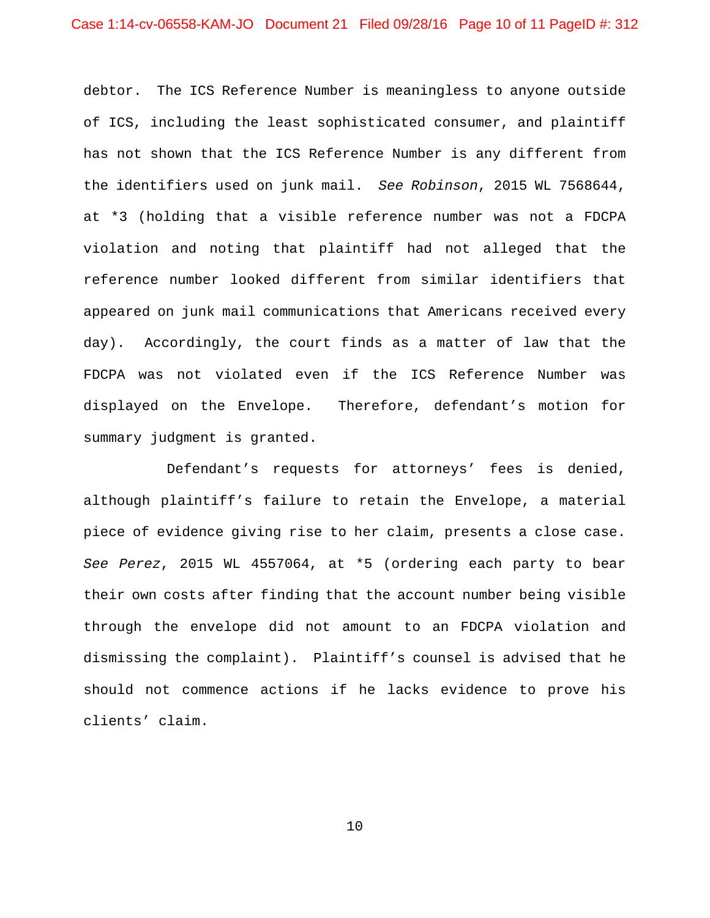debtor. The ICS Reference Number is meaningless to anyone outside of ICS, including the least sophisticated consumer, and plaintiff has not shown that the ICS Reference Number is any different from the identifiers used on junk mail. *See Robinson*, 2015 WL 7568644, at \*3 (holding that a visible reference number was not a FDCPA violation and noting that plaintiff had not alleged that the reference number looked different from similar identifiers that appeared on junk mail communications that Americans received every day). Accordingly, the court finds as a matter of law that the FDCPA was not violated even if the ICS Reference Number was displayed on the Envelope. Therefore, defendant's motion for summary judgment is granted.

Defendant's requests for attorneys' fees is denied, although plaintiff's failure to retain the Envelope, a material piece of evidence giving rise to her claim, presents a close case. *See Perez*, 2015 WL 4557064, at \*5 (ordering each party to bear their own costs after finding that the account number being visible through the envelope did not amount to an FDCPA violation and dismissing the complaint). Plaintiff's counsel is advised that he should not commence actions if he lacks evidence to prove his clients' claim.